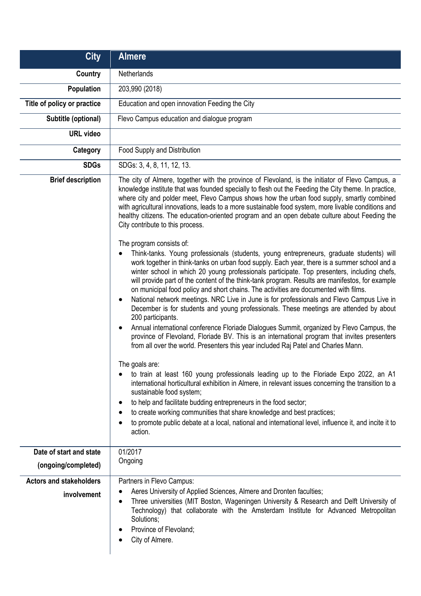| <b>City</b>                                   | <b>Almere</b>                                                                                                                                                                                                                                                                                                                                                                                                                                                                                                                                                                                                                                                                                                                                                                                                                                                                                                                                                                                                                                                                                                                                                                                                                                                                                                                                                                                                                                                                                                                                                                                                                                                                                                                                                                                                                                                                                                                                                                                                                                                            |
|-----------------------------------------------|--------------------------------------------------------------------------------------------------------------------------------------------------------------------------------------------------------------------------------------------------------------------------------------------------------------------------------------------------------------------------------------------------------------------------------------------------------------------------------------------------------------------------------------------------------------------------------------------------------------------------------------------------------------------------------------------------------------------------------------------------------------------------------------------------------------------------------------------------------------------------------------------------------------------------------------------------------------------------------------------------------------------------------------------------------------------------------------------------------------------------------------------------------------------------------------------------------------------------------------------------------------------------------------------------------------------------------------------------------------------------------------------------------------------------------------------------------------------------------------------------------------------------------------------------------------------------------------------------------------------------------------------------------------------------------------------------------------------------------------------------------------------------------------------------------------------------------------------------------------------------------------------------------------------------------------------------------------------------------------------------------------------------------------------------------------------------|
| <b>Country</b>                                | Netherlands                                                                                                                                                                                                                                                                                                                                                                                                                                                                                                                                                                                                                                                                                                                                                                                                                                                                                                                                                                                                                                                                                                                                                                                                                                                                                                                                                                                                                                                                                                                                                                                                                                                                                                                                                                                                                                                                                                                                                                                                                                                              |
| Population                                    | 203,990 (2018)                                                                                                                                                                                                                                                                                                                                                                                                                                                                                                                                                                                                                                                                                                                                                                                                                                                                                                                                                                                                                                                                                                                                                                                                                                                                                                                                                                                                                                                                                                                                                                                                                                                                                                                                                                                                                                                                                                                                                                                                                                                           |
| Title of policy or practice                   | Education and open innovation Feeding the City                                                                                                                                                                                                                                                                                                                                                                                                                                                                                                                                                                                                                                                                                                                                                                                                                                                                                                                                                                                                                                                                                                                                                                                                                                                                                                                                                                                                                                                                                                                                                                                                                                                                                                                                                                                                                                                                                                                                                                                                                           |
| Subtitle (optional)                           | Flevo Campus education and dialogue program                                                                                                                                                                                                                                                                                                                                                                                                                                                                                                                                                                                                                                                                                                                                                                                                                                                                                                                                                                                                                                                                                                                                                                                                                                                                                                                                                                                                                                                                                                                                                                                                                                                                                                                                                                                                                                                                                                                                                                                                                              |
| <b>URL</b> video                              |                                                                                                                                                                                                                                                                                                                                                                                                                                                                                                                                                                                                                                                                                                                                                                                                                                                                                                                                                                                                                                                                                                                                                                                                                                                                                                                                                                                                                                                                                                                                                                                                                                                                                                                                                                                                                                                                                                                                                                                                                                                                          |
| Category                                      | Food Supply and Distribution                                                                                                                                                                                                                                                                                                                                                                                                                                                                                                                                                                                                                                                                                                                                                                                                                                                                                                                                                                                                                                                                                                                                                                                                                                                                                                                                                                                                                                                                                                                                                                                                                                                                                                                                                                                                                                                                                                                                                                                                                                             |
| <b>SDGs</b>                                   | SDGs: 3, 4, 8, 11, 12, 13.                                                                                                                                                                                                                                                                                                                                                                                                                                                                                                                                                                                                                                                                                                                                                                                                                                                                                                                                                                                                                                                                                                                                                                                                                                                                                                                                                                                                                                                                                                                                                                                                                                                                                                                                                                                                                                                                                                                                                                                                                                               |
| <b>Brief description</b>                      | The city of Almere, together with the province of Flevoland, is the initiator of Flevo Campus, a<br>knowledge institute that was founded specially to flesh out the Feeding the City theme. In practice,<br>where city and polder meet, Flevo Campus shows how the urban food supply, smartly combined<br>with agricultural innovations, leads to a more sustainable food system, more livable conditions and<br>healthy citizens. The education-oriented program and an open debate culture about Feeding the<br>City contribute to this process.<br>The program consists of:<br>Think-tanks. Young professionals (students, young entrepreneurs, graduate students) will<br>work together in think-tanks on urban food supply. Each year, there is a summer school and a<br>winter school in which 20 young professionals participate. Top presenters, including chefs,<br>will provide part of the content of the think-tank program. Results are manifestos, for example<br>on municipal food policy and short chains. The activities are documented with films.<br>National network meetings. NRC Live in June is for professionals and Flevo Campus Live in<br>December is for students and young professionals. These meetings are attended by about<br>200 participants.<br>Annual international conference Floriade Dialogues Summit, organized by Flevo Campus, the<br>province of Flevoland, Floriade BV. This is an international program that invites presenters<br>from all over the world. Presenters this year included Raj Patel and Charles Mann.<br>The goals are:<br>to train at least 160 young professionals leading up to the Floriade Expo 2022, an A1<br>international horticultural exhibition in Almere, in relevant issues concerning the transition to a<br>sustainable food system;<br>to help and facilitate budding entrepreneurs in the food sector;<br>to create working communities that share knowledge and best practices;<br>to promote public debate at a local, national and international level, influence it, and incite it to |
|                                               | action.                                                                                                                                                                                                                                                                                                                                                                                                                                                                                                                                                                                                                                                                                                                                                                                                                                                                                                                                                                                                                                                                                                                                                                                                                                                                                                                                                                                                                                                                                                                                                                                                                                                                                                                                                                                                                                                                                                                                                                                                                                                                  |
| Date of start and state                       | 01/2017<br>Ongoing                                                                                                                                                                                                                                                                                                                                                                                                                                                                                                                                                                                                                                                                                                                                                                                                                                                                                                                                                                                                                                                                                                                                                                                                                                                                                                                                                                                                                                                                                                                                                                                                                                                                                                                                                                                                                                                                                                                                                                                                                                                       |
| (ongoing/completed)                           |                                                                                                                                                                                                                                                                                                                                                                                                                                                                                                                                                                                                                                                                                                                                                                                                                                                                                                                                                                                                                                                                                                                                                                                                                                                                                                                                                                                                                                                                                                                                                                                                                                                                                                                                                                                                                                                                                                                                                                                                                                                                          |
| <b>Actors and stakeholders</b><br>involvement | Partners in Flevo Campus:<br>Aeres University of Applied Sciences, Almere and Dronten faculties;<br>Three universities (MIT Boston, Wageningen University & Research and Delft University of<br>$\bullet$<br>Technology) that collaborate with the Amsterdam Institute for Advanced Metropolitan<br>Solutions;<br>Province of Flevoland;<br>City of Almere.                                                                                                                                                                                                                                                                                                                                                                                                                                                                                                                                                                                                                                                                                                                                                                                                                                                                                                                                                                                                                                                                                                                                                                                                                                                                                                                                                                                                                                                                                                                                                                                                                                                                                                              |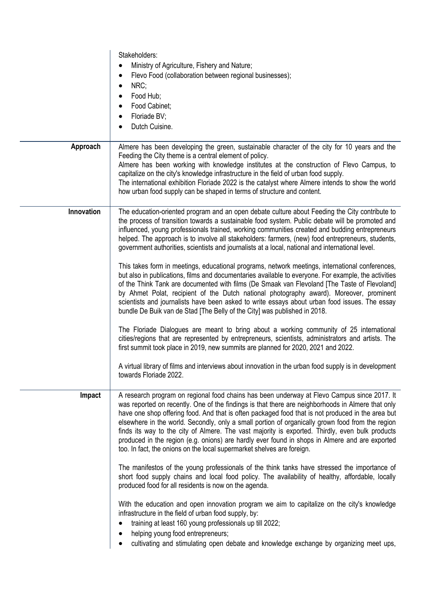|            | Stakeholders:<br>Ministry of Agriculture, Fishery and Nature;<br>Flevo Food (collaboration between regional businesses);<br>NRC;<br>Food Hub;<br>Food Cabinet;<br>Floriade BV;<br>Dutch Cuisine.                                                                                                                                                                                                                                                                                                                                                                                                                                                                                         |
|------------|------------------------------------------------------------------------------------------------------------------------------------------------------------------------------------------------------------------------------------------------------------------------------------------------------------------------------------------------------------------------------------------------------------------------------------------------------------------------------------------------------------------------------------------------------------------------------------------------------------------------------------------------------------------------------------------|
| Approach   | Almere has been developing the green, sustainable character of the city for 10 years and the<br>Feeding the City theme is a central element of policy.<br>Almere has been working with knowledge institutes at the construction of Flevo Campus, to<br>capitalize on the city's knowledge infrastructure in the field of urban food supply.<br>The international exhibition Floriade 2022 is the catalyst where Almere intends to show the world<br>how urban food supply can be shaped in terms of structure and content.                                                                                                                                                               |
| Innovation | The education-oriented program and an open debate culture about Feeding the City contribute to<br>the process of transition towards a sustainable food system. Public debate will be promoted and<br>influenced, young professionals trained, working communities created and budding entrepreneurs<br>helped. The approach is to involve all stakeholders: farmers, (new) food entrepreneurs, students,<br>government authorities, scientists and journalists at a local, national and international level.                                                                                                                                                                             |
|            | This takes form in meetings, educational programs, network meetings, international conferences,<br>but also in publications, films and documentaries available to everyone. For example, the activities<br>of the Think Tank are documented with films (De Smaak van Flevoland [The Taste of Flevoland]<br>by Ahmet Polat, recipient of the Dutch national photography award). Moreover, prominent<br>scientists and journalists have been asked to write essays about urban food issues. The essay<br>bundle De Buik van de Stad [The Belly of the City] was published in 2018.                                                                                                         |
|            | The Floriade Dialogues are meant to bring about a working community of 25 international<br>cities/regions that are represented by entrepreneurs, scientists, administrators and artists. The<br>first summit took place in 2019, new summits are planned for 2020, 2021 and 2022.                                                                                                                                                                                                                                                                                                                                                                                                        |
|            | A virtual library of films and interviews about innovation in the urban food supply is in development<br>towards Floriade 2022.                                                                                                                                                                                                                                                                                                                                                                                                                                                                                                                                                          |
| Impact     | A research program on regional food chains has been underway at Flevo Campus since 2017. It<br>was reported on recently. One of the findings is that there are neighborhoods in Almere that only<br>have one shop offering food. And that is often packaged food that is not produced in the area but<br>elsewhere in the world. Secondly, only a small portion of organically grown food from the region<br>finds its way to the city of Almere. The vast majority is exported. Thirdly, even bulk products<br>produced in the region (e.g. onions) are hardly ever found in shops in Almere and are exported<br>too. In fact, the onions on the local supermarket shelves are foreign. |
|            | The manifestos of the young professionals of the think tanks have stressed the importance of<br>short food supply chains and local food policy. The availability of healthy, affordable, locally<br>produced food for all residents is now on the agenda.                                                                                                                                                                                                                                                                                                                                                                                                                                |
|            | With the education and open innovation program we aim to capitalize on the city's knowledge<br>infrastructure in the field of urban food supply, by:<br>training at least 160 young professionals up till 2022;<br>helping young food entrepreneurs;                                                                                                                                                                                                                                                                                                                                                                                                                                     |
|            | cultivating and stimulating open debate and knowledge exchange by organizing meet ups,                                                                                                                                                                                                                                                                                                                                                                                                                                                                                                                                                                                                   |